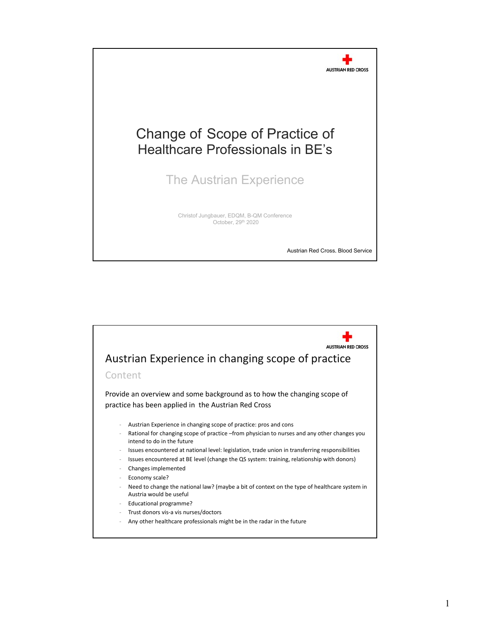

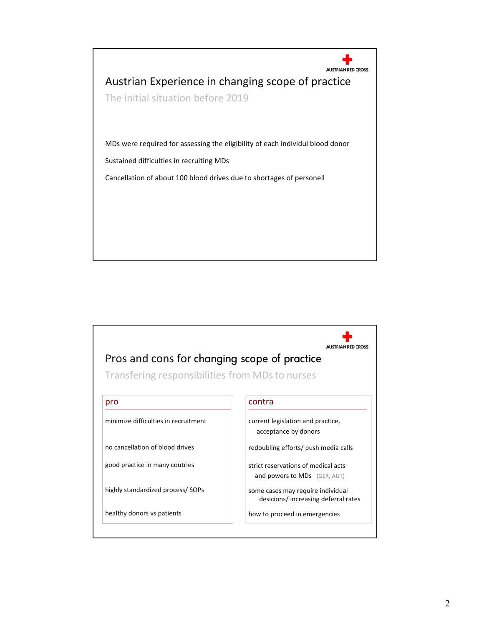

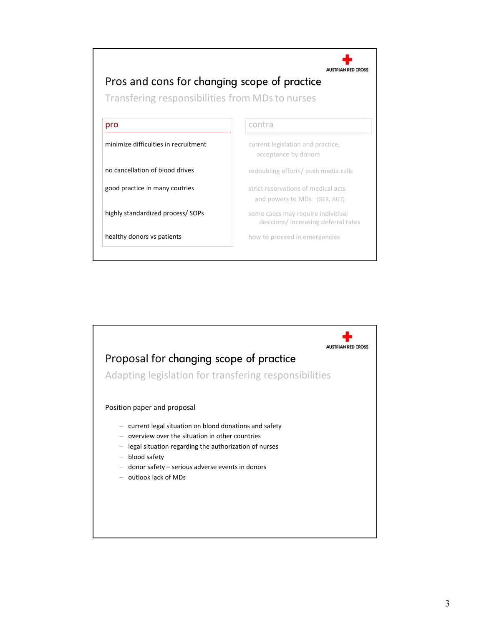

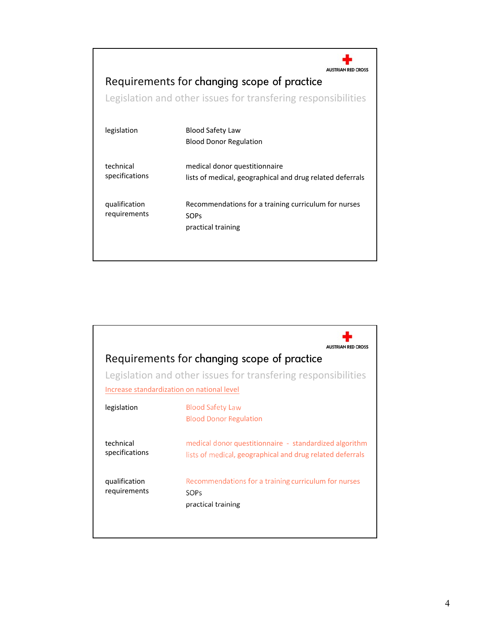| Requirements for changing scope of practice<br>Legislation and other issues for transfering responsibilities |                                                                                            |
|--------------------------------------------------------------------------------------------------------------|--------------------------------------------------------------------------------------------|
| legislation                                                                                                  | Blood Safety Law<br><b>Blood Donor Regulation</b>                                          |
| technical<br>specifications                                                                                  | medical donor questitionnaire<br>lists of medical, geographical and drug related deferrals |
| qualification<br>requirements                                                                                | Recommendations for a training curriculum for nurses<br>SOPs<br>practical training         |

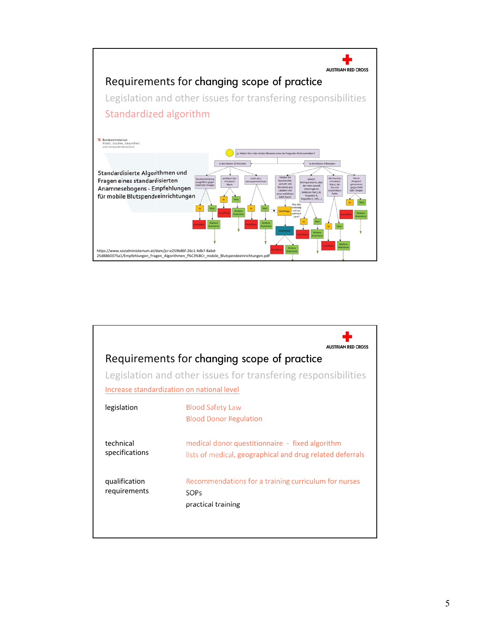

| Requirements for changing scope of practice<br>Legislation and other issues for transfering responsibilities<br>Increase standardization on national level |                                                           |  |
|------------------------------------------------------------------------------------------------------------------------------------------------------------|-----------------------------------------------------------|--|
| legislation                                                                                                                                                | <b>Blood Safety Law</b>                                   |  |
|                                                                                                                                                            | <b>Blood Donor Regulation</b>                             |  |
| technical                                                                                                                                                  | medical donor questitionnaire - fixed algorithm           |  |
| specifications                                                                                                                                             | lists of medical, geographical and drug related deferrals |  |
| qualification                                                                                                                                              | Recommendations for a training curriculum for nurses      |  |
| requirements                                                                                                                                               | SOPs                                                      |  |
|                                                                                                                                                            | practical training                                        |  |
|                                                                                                                                                            |                                                           |  |
|                                                                                                                                                            |                                                           |  |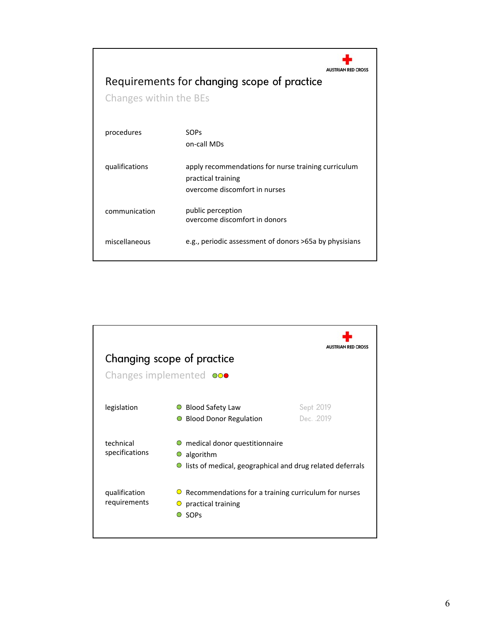| <b>AUSTRIAN RED CROSS</b><br>Requirements for changing scope of practice<br>Changes within the BEs |                                                        |  |
|----------------------------------------------------------------------------------------------------|--------------------------------------------------------|--|
| procedures                                                                                         | SOPs                                                   |  |
|                                                                                                    | on-call MDs                                            |  |
| qualifications                                                                                     | apply recommendations for nurse training curriculum    |  |
|                                                                                                    | practical training                                     |  |
|                                                                                                    | overcome discomfort in nurses                          |  |
| communication                                                                                      | public perception                                      |  |
|                                                                                                    | overcome discomfort in donors                          |  |
| miscellaneous                                                                                      | e.g., periodic assessment of donors >65a by physisians |  |